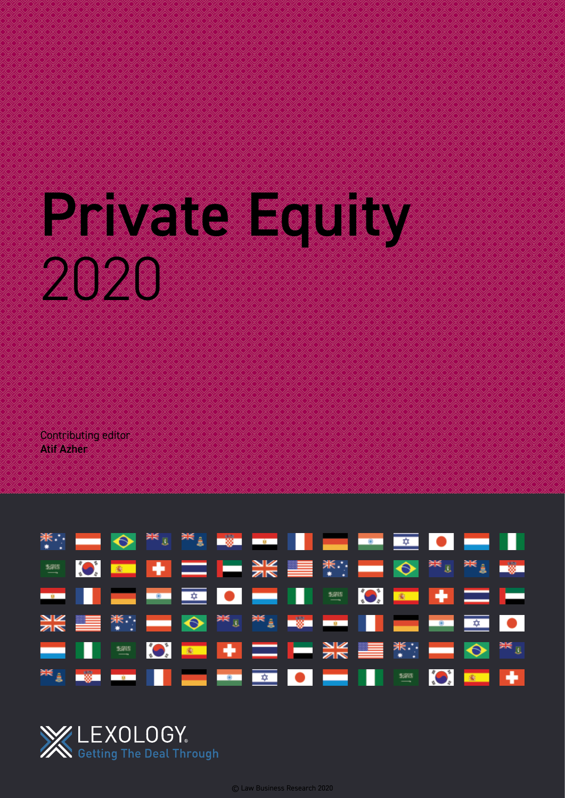# Private Equity 2020

Contributing editor Atif Azher

|  |  |  | WHERE $\bigcirc$ $\frac{1}{100}$ is the second of $\bigcirc$ in the second of $\bigcirc$ in the second of $\bigcirc$ in the second of $\bigcirc$                                                                               |  |  |  |  |
|--|--|--|--------------------------------------------------------------------------------------------------------------------------------------------------------------------------------------------------------------------------------|--|--|--|--|
|  |  |  | E OF HIS SERVICE TO A SERVICE OF THE SERVICE OF THE SERVICE OF THE SERVICE OF THE SERVICE OF THE SERVICE OF THE SERVICE OF THE SERVICE OF THE SERVICE OF THE SERVICE OF THE SERVICE OF THE SERVICE OF THE SERVICE OF THE SERVI |  |  |  |  |
|  |  |  | ▅▅▐▐▕▅▅▐▅▖▊▅▊▌▆▕▊▊▊▓▐░▎▆▖▏⋕▐▆▆▕▅                                                                                                                                                                                               |  |  |  |  |
|  |  |  |                                                                                                                                                                                                                                |  |  |  |  |
|  |  |  | ▅▕▎▓▏▓▏▓▏▆▏▛▁▅▕▅▓▓▓▓▓░▅▅▓░                                                                                                                                                                                                     |  |  |  |  |
|  |  |  | <sup>▓▓</sup> ▟▐▓▆▐▆▆▋▌▊█▆▋▆▖▗▖▋▞▋▊▊█▆▋▐▕▏▓▓▕▞▎▛▖▋ <del></del> ▐▏                                                                                                                                                              |  |  |  |  |

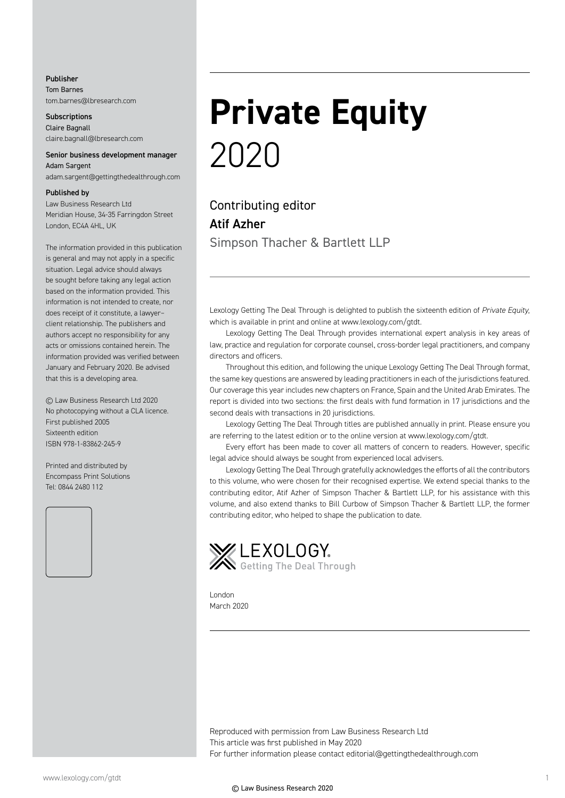#### Publisher Tom Barnes

tom.barnes@lbresearch.com

**Subscriptions** Claire Bagnall claire.bagnall@lbresearch.com

#### Senior business development manager Adam Sargent

adam.sargent@gettingthedealthrough.com

#### Published by

Law Business Research Ltd Meridian House, 34-35 Farringdon Street London, EC4A 4HL, UK

The information provided in this publication is general and may not apply in a specific situation. Legal advice should always be sought before taking any legal action based on the information provided. This information is not intended to create, nor does receipt of it constitute, a lawyer– client relationship. The publishers and authors accept no responsibility for any acts or omissions contained herein. The information provided was verified between January and February 2020. Be advised that this is a developing area.

© Law Business Research Ltd 2020 No photocopying without a CLA licence. First published 2005 Sixteenth edition ISBN 978-1-83862-245-9

Printed and distributed by Encompass Print Solutions Tel: 0844 2480 112



# **Private Equity** 2020

Contributing editor Atif Azher Simpson Thacher & Bartlett LLP

Lexology Getting The Deal Through is delighted to publish the sixteenth edition of *Private Equity*, which is available in print and online at www.lexology.com/gtdt.

Lexology Getting The Deal Through provides international expert analysis in key areas of law, practice and regulation for corporate counsel, cross-border legal practitioners, and company directors and officers.

Throughout this edition, and following the unique Lexology Getting The Deal Through format, the same key questions are answered by leading practitioners in each of the jurisdictions featured. Our coverage this year includes new chapters on France, Spain and the United Arab Emirates. The report is divided into two sections: the first deals with fund formation in 17 jurisdictions and the second deals with transactions in 20 jurisdictions.

Lexology Getting The Deal Through titles are published annually in print. Please ensure you are referring to the latest edition or to the online version at www.lexology.com/gtdt.

Every effort has been made to cover all matters of concern to readers. However, specific legal advice should always be sought from experienced local advisers.

Lexology Getting The Deal Through gratefully acknowledges the efforts of all the contributors to this volume, who were chosen for their recognised expertise. We extend special thanks to the contributing editor, Atif Azher of Simpson Thacher & Bartlett LLP, for his assistance with this volume, and also extend thanks to Bill Curbow of Simpson Thacher & Bartlett LLP, the former contributing editor, who helped to shape the publication to date.



London March 2020

Reproduced with permission from Law Business Research Ltd This article was first published in May 2020 For further information please contact editorial@gettingthedealthrough.com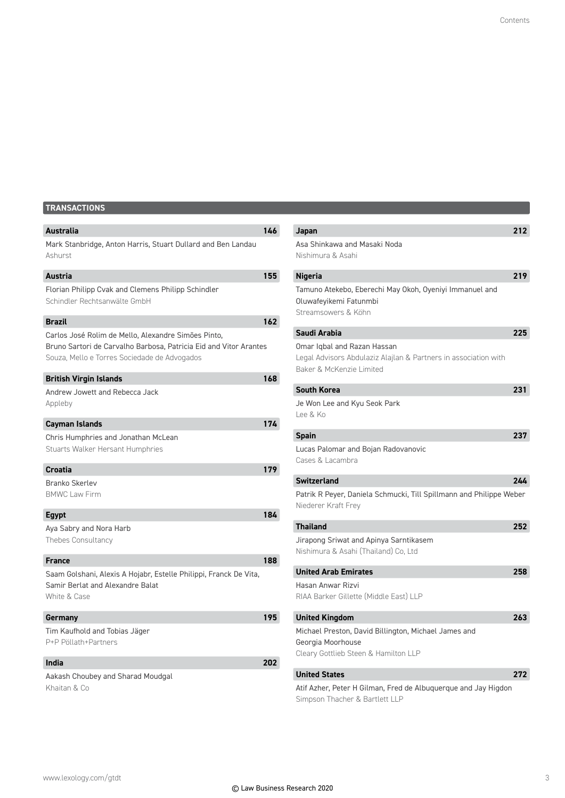### **TRANSACTIONS**

| Australia                                                                                                                                                                | 146 |
|--------------------------------------------------------------------------------------------------------------------------------------------------------------------------|-----|
| Mark Stanbridge, Anton Harris, Stuart Dullard and Ben Landau<br>Ashurst                                                                                                  |     |
| <b>Austria</b>                                                                                                                                                           | 155 |
| Florian Philipp Cvak and Clemens Philipp Schindler<br>Schindler Rechtsanwälte GmbH                                                                                       |     |
| <b>Brazil</b>                                                                                                                                                            | 162 |
| Carlos José Rolim de Mello, Alexandre Simões Pinto,<br>Bruno Sartori de Carvalho Barbosa, Patricia Eid and Vitor Arantes<br>Souza, Mello e Torres Sociedade de Advogados |     |
| <b>British Virgin Islands</b>                                                                                                                                            | 168 |
| Andrew Jowett and Rebecca Jack<br>Appleby                                                                                                                                |     |
| <b>Cayman Islands</b>                                                                                                                                                    | 174 |
| Chris Humphries and Jonathan McLean<br><b>Stuarts Walker Hersant Humphries</b>                                                                                           |     |
| <b>Croatia</b>                                                                                                                                                           | 179 |
| <b>Branko Skerlev</b><br><b>BMWC Law Firm</b>                                                                                                                            |     |
| <b>Egypt</b>                                                                                                                                                             | 184 |
| Aya Sabry and Nora Harb<br>Thebes Consultancy                                                                                                                            |     |
| <b>France</b>                                                                                                                                                            | 188 |
| Saam Golshani, Alexis A Hojabr, Estelle Philippi, Franck De Vita,<br>Samir Berlat and Alexandre Balat<br>White & Case                                                    |     |
| Germany                                                                                                                                                                  | 195 |
| Tim Kaufhold and Tobias Jäger<br>P+P Pöllath+Partners                                                                                                                    |     |
| India                                                                                                                                                                    | 202 |
| Aakash Choubey and Sharad Moudgal<br>Khaitan & Co                                                                                                                        |     |

| Japan                                                               | 212 |
|---------------------------------------------------------------------|-----|
| Asa Shinkawa and Masaki Noda                                        |     |
| Nishimura & Asahi                                                   |     |
| <b>Nigeria</b>                                                      | 219 |
| Tamuno Atekebo, Eberechi May Okoh, Oyeniyi Immanuel and             |     |
| Oluwafeyikemi Fatunmbi                                              |     |
| Streamsowers & Köhn                                                 |     |
| Saudi Arabia                                                        | 225 |
| Omar Iqbal and Razan Hassan                                         |     |
| Legal Advisors Abdulaziz Alajlan & Partners in association with     |     |
| Baker & McKenzie Limited                                            |     |
| <b>South Korea</b>                                                  | 231 |
| Je Won Lee and Kyu Seok Park                                        |     |
| Lee & Ko                                                            |     |
| <b>Spain</b>                                                        | 237 |
|                                                                     |     |
| Lucas Palomar and Bojan Radovanovic<br>Cases & Lacambra             |     |
|                                                                     |     |
| <b>Switzerland</b>                                                  | 244 |
| Patrik R Peyer, Daniela Schmucki, Till Spillmann and Philippe Weber |     |
| Niederer Kraft Frey                                                 |     |
| <b>Thailand</b>                                                     | 252 |
| Jirapong Sriwat and Apinya Sarntikasem                              |     |
| Nishimura & Asahi (Thailand) Co, Ltd                                |     |
| <b>United Arab Emirates</b>                                         | 258 |
|                                                                     |     |
| Hasan Anwar Rizvi<br>RIAA Barker Gillette (Middle East) LLP         |     |
|                                                                     |     |
| <b>United Kingdom</b>                                               | 263 |
| Michael Preston, David Billington, Michael James and                |     |
| Georgia Moorhouse                                                   |     |
| Cleary Gottlieb Steen & Hamilton LLP                                |     |
| <b>United States</b>                                                | 272 |
|                                                                     |     |

Atif Azher, Peter H Gilman, Fred de Albuquerque and Jay Higdon Simpson Thacher & Bartlett LLP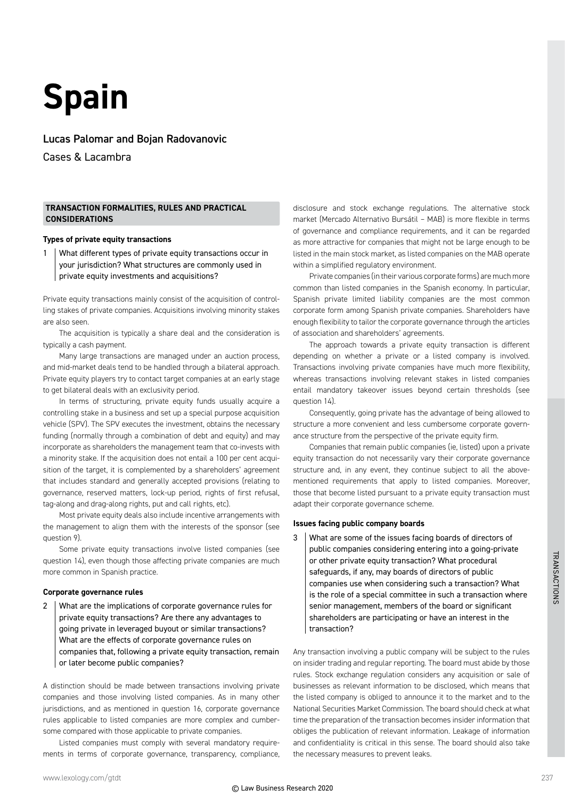# **Spain**

#### Lucas Palomar and Bojan Radovanovic

Cases & Lacambra

#### **TRANSACTION FORMALITIES, RULES AND PRACTICAL CONSIDERATIONS**

#### **Types of private equity transactions**

1 | What different types of private equity transactions occur in your jurisdiction? What structures are commonly used in private equity investments and acquisitions?

Private equity transactions mainly consist of the acquisition of controlling stakes of private companies. Acquisitions involving minority stakes are also seen.

The acquisition is typically a share deal and the consideration is typically a cash payment.

Many large transactions are managed under an auction process, and mid-market deals tend to be handled through a bilateral approach. Private equity players try to contact target companies at an early stage to get bilateral deals with an exclusivity period.

In terms of structuring, private equity funds usually acquire a controlling stake in a business and set up a special purpose acquisition vehicle (SPV). The SPV executes the investment, obtains the necessary funding (normally through a combination of debt and equity) and may incorporate as shareholders the management team that co-invests with a minority stake. If the acquisition does not entail a 100 per cent acquisition of the target, it is complemented by a shareholders' agreement that includes standard and generally accepted provisions (relating to governance, reserved matters, lock-up period, rights of first refusal, tag-along and drag-along rights, put and call rights, etc).

Most private equity deals also include incentive arrangements with the management to align them with the interests of the sponsor (see question 9).

Some private equity transactions involve listed companies (see question 14), even though those affecting private companies are much more common in Spanish practice.

#### **Corporate governance rules**

2 | What are the implications of corporate governance rules for private equity transactions? Are there any advantages to going private in leveraged buyout or similar transactions? What are the effects of corporate governance rules on companies that, following a private equity transaction, remain or later become public companies?

A distinction should be made between transactions involving private companies and those involving listed companies. As in many other jurisdictions, and as mentioned in question 16, corporate governance rules applicable to listed companies are more complex and cumbersome compared with those applicable to private companies.

Listed companies must comply with several mandatory requirements in terms of corporate governance, transparency, compliance, disclosure and stock exchange regulations. The alternative stock market (Mercado Alternativo Bursátil – MAB) is more flexible in terms of governance and compliance requirements, and it can be regarded as more attractive for companies that might not be large enough to be listed in the main stock market, as listed companies on the MAB operate within a simplified regulatory environment.

Private companies (in their various corporate forms) are much more common than listed companies in the Spanish economy. In particular, Spanish private limited liability companies are the most common corporate form among Spanish private companies. Shareholders have enough flexibility to tailor the corporate governance through the articles of association and shareholders' agreements.

The approach towards a private equity transaction is different depending on whether a private or a listed company is involved. Transactions involving private companies have much more flexibility, whereas transactions involving relevant stakes in listed companies entail mandatory takeover issues beyond certain thresholds (see question 14).

Consequently, going private has the advantage of being allowed to structure a more convenient and less cumbersome corporate governance structure from the perspective of the private equity firm.

Companies that remain public companies (ie, listed) upon a private equity transaction do not necessarily vary their corporate governance structure and, in any event, they continue subject to all the abovementioned requirements that apply to listed companies. Moreover, those that become listed pursuant to a private equity transaction must adapt their corporate governance scheme.

#### **Issues facing public company boards**

3 What are some of the issues facing boards of directors of public companies considering entering into a going-private or other private equity transaction? What procedural safeguards, if any, may boards of directors of public companies use when considering such a transaction? What is the role of a special committee in such a transaction where senior management, members of the board or significant shareholders are participating or have an interest in the transaction?

Any transaction involving a public company will be subject to the rules on insider trading and regular reporting. The board must abide by those rules. Stock exchange regulation considers any acquisition or sale of businesses as relevant information to be disclosed, which means that the listed company is obliged to announce it to the market and to the National Securities Market Commission. The board should check at what time the preparation of the transaction becomes insider information that obliges the publication of relevant information. Leakage of information and confidentiality is critical in this sense. The board should also take the necessary measures to prevent leaks.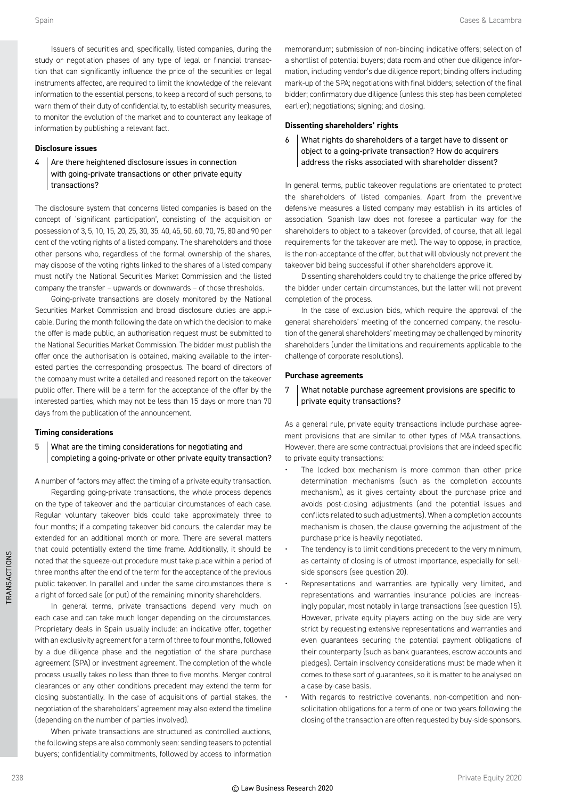Issuers of securities and, specifically, listed companies, during the study or negotiation phases of any type of legal or financial transaction that can significantly influence the price of the securities or legal instruments affected, are required to limit the knowledge of the relevant information to the essential persons, to keep a record of such persons, to warn them of their duty of confidentiality, to establish security measures, to monitor the evolution of the market and to counteract any leakage of information by publishing a relevant fact.

#### **Disclosure issues**

Are there heightened disclosure issues in connection with going-private transactions or other private equity transactions?

The disclosure system that concerns listed companies is based on the concept of 'significant participation', consisting of the acquisition or possession of 3, 5, 10, 15, 20, 25, 30, 35, 40, 45, 50, 60, 70, 75, 80 and 90 per cent of the voting rights of a listed company. The shareholders and those other persons who, regardless of the formal ownership of the shares, may dispose of the voting rights linked to the shares of a listed company must notify the National Securities Market Commission and the listed company the transfer – upwards or downwards – of those thresholds.

Going-private transactions are closely monitored by the National Securities Market Commission and broad disclosure duties are applicable. During the month following the date on which the decision to make the offer is made public, an authorisation request must be submitted to the National Securities Market Commission. The bidder must publish the offer once the authorisation is obtained, making available to the interested parties the corresponding prospectus. The board of directors of the company must write a detailed and reasoned report on the takeover public offer. There will be a term for the acceptance of the offer by the interested parties, which may not be less than 15 days or more than 70 days from the publication of the announcement.

#### **Timing considerations**

#### What are the timing considerations for negotiating and completing a going-private or other private equity transaction?

A number of factors may affect the timing of a private equity transaction.

Regarding going-private transactions, the whole process depends on the type of takeover and the particular circumstances of each case. Regular voluntary takeover bids could take approximately three to four months; if a competing takeover bid concurs, the calendar may be extended for an additional month or more. There are several matters that could potentially extend the time frame. Additionally, it should be noted that the squeeze-out procedure must take place within a period of three months after the end of the term for the acceptance of the previous public takeover. In parallel and under the same circumstances there is a right of forced sale (or put) of the remaining minority shareholders.

In general terms, private transactions depend very much on each case and can take much longer depending on the circumstances. Proprietary deals in Spain usually include: an indicative offer, together with an exclusivity agreement for a term of three to four months, followed by a due diligence phase and the negotiation of the share purchase agreement (SPA) or investment agreement. The completion of the whole process usually takes no less than three to five months. Merger control clearances or any other conditions precedent may extend the term for closing substantially. In the case of acquisitions of partial stakes, the negotiation of the shareholders' agreement may also extend the timeline (depending on the number of parties involved).

When private transactions are structured as controlled auctions, the following steps are also commonly seen: sending teasers to potential buyers; confidentiality commitments, followed by access to information memorandum; submission of non-binding indicative offers; selection of a shortlist of potential buyers; data room and other due diligence information, including vendor's due diligence report; binding offers including mark-up of the SPA; negotiations with final bidders; selection of the final bidder; confirmatory due diligence (unless this step has been completed earlier); negotiations; signing; and closing.

#### **Dissenting shareholders' rights**

What rights do shareholders of a target have to dissent or object to a going-private transaction? How do acquirers address the risks associated with shareholder dissent?

In general terms, public takeover regulations are orientated to protect the shareholders of listed companies. Apart from the preventive defensive measures a listed company may establish in its articles of association, Spanish law does not foresee a particular way for the shareholders to object to a takeover (provided, of course, that all legal requirements for the takeover are met). The way to oppose, in practice, is the non-acceptance of the offer, but that will obviously not prevent the takeover bid being successful if other shareholders approve it.

Dissenting shareholders could try to challenge the price offered by the bidder under certain circumstances, but the latter will not prevent completion of the process.

In the case of exclusion bids, which require the approval of the general shareholders' meeting of the concerned company, the resolution of the general shareholders' meeting may be challenged by minority shareholders (under the limitations and requirements applicable to the challenge of corporate resolutions).

#### **Purchase agreements**

7 What notable purchase agreement provisions are specific to private equity transactions?

As a general rule, private equity transactions include purchase agreement provisions that are similar to other types of M&A transactions. However, there are some contractual provisions that are indeed specific to private equity transactions:

- The locked box mechanism is more common than other price determination mechanisms (such as the completion accounts mechanism), as it gives certainty about the purchase price and avoids post-closing adjustments (and the potential issues and conflicts related to such adjustments). When a completion accounts mechanism is chosen, the clause governing the adjustment of the purchase price is heavily negotiated.
- The tendency is to limit conditions precedent to the very minimum, as certainty of closing is of utmost importance, especially for sellside sponsors (see question 20).
- Representations and warranties are typically very limited, and representations and warranties insurance policies are increasingly popular, most notably in large transactions (see question 15). However, private equity players acting on the buy side are very strict by requesting extensive representations and warranties and even guarantees securing the potential payment obligations of their counterparty (such as bank guarantees, escrow accounts and pledges). Certain insolvency considerations must be made when it comes to these sort of guarantees, so it is matter to be analysed on a case-by-case basis.
- With regards to restrictive covenants, non-competition and nonsolicitation obligations for a term of one or two years following the closing of the transaction are often requested by buy-side sponsors.

TRANSACTIONS

*TRANSACTIONS*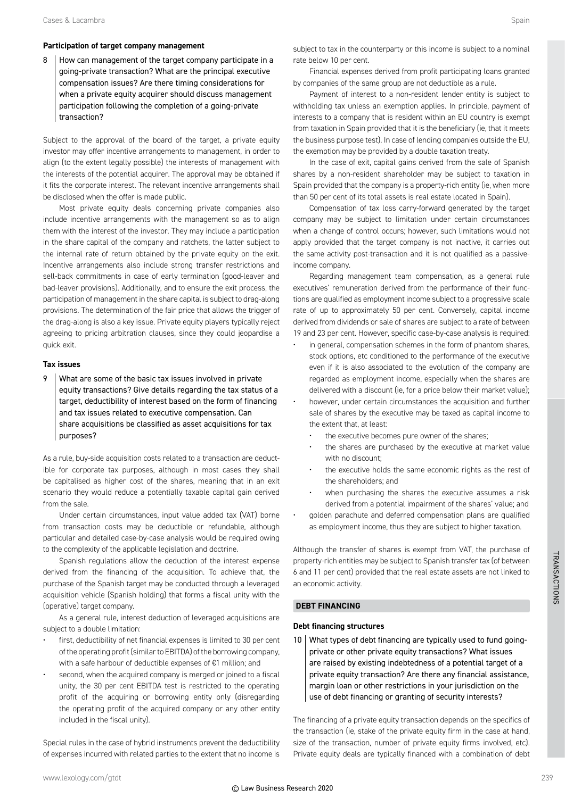#### **Participation of target company management**

8 How can management of the target company participate in a going-private transaction? What are the principal executive compensation issues? Are there timing considerations for when a private equity acquirer should discuss management participation following the completion of a going-private transaction?

Subject to the approval of the board of the target, a private equity investor may offer incentive arrangements to management, in order to align (to the extent legally possible) the interests of management with the interests of the potential acquirer. The approval may be obtained if it fits the corporate interest. The relevant incentive arrangements shall be disclosed when the offer is made public.

Most private equity deals concerning private companies also include incentive arrangements with the management so as to align them with the interest of the investor. They may include a participation in the share capital of the company and ratchets, the latter subject to the internal rate of return obtained by the private equity on the exit. Incentive arrangements also include strong transfer restrictions and sell-back commitments in case of early termination (good-leaver and bad-leaver provisions). Additionally, and to ensure the exit process, the participation of management in the share capital is subject to drag-along provisions. The determination of the fair price that allows the trigger of the drag-along is also a key issue. Private equity players typically reject agreeing to pricing arbitration clauses, since they could jeopardise a quick exit.

#### **Tax issues**

9 | What are some of the basic tax issues involved in private equity transactions? Give details regarding the tax status of a target, deductibility of interest based on the form of financing and tax issues related to executive compensation. Can share acquisitions be classified as asset acquisitions for tax purposes?

As a rule, buy-side acquisition costs related to a transaction are deductible for corporate tax purposes, although in most cases they shall be capitalised as higher cost of the shares, meaning that in an exit scenario they would reduce a potentially taxable capital gain derived from the sale.

Under certain circumstances, input value added tax (VAT) borne from transaction costs may be deductible or refundable, although particular and detailed case-by-case analysis would be required owing to the complexity of the applicable legislation and doctrine.

Spanish regulations allow the deduction of the interest expense derived from the financing of the acquisition. To achieve that, the purchase of the Spanish target may be conducted through a leveraged acquisition vehicle (Spanish holding) that forms a fiscal unity with the (operative) target company.

As a general rule, interest deduction of leveraged acquisitions are subject to a double limitation:

- first, deductibility of net financial expenses is limited to 30 per cent of the operating profit (similar to EBITDA) of the borrowing company, with a safe harbour of deductible expenses of €1 million; and
- second, when the acquired company is merged or joined to a fiscal unity, the 30 per cent EBITDA test is restricted to the operating profit of the acquiring or borrowing entity only (disregarding the operating profit of the acquired company or any other entity included in the fiscal unity).

Special rules in the case of hybrid instruments prevent the deductibility of expenses incurred with related parties to the extent that no income is subject to tax in the counterparty or this income is subject to a nominal rate below 10 per cent.

Financial expenses derived from profit participating loans granted by companies of the same group are not deductible as a rule.

Payment of interest to a non-resident lender entity is subject to withholding tax unless an exemption applies. In principle, payment of interests to a company that is resident within an EU country is exempt from taxation in Spain provided that it is the beneficiary (ie, that it meets the business purpose test). In case of lending companies outside the EU, the exemption may be provided by a double taxation treaty.

In the case of exit, capital gains derived from the sale of Spanish shares by a non-resident shareholder may be subject to taxation in Spain provided that the company is a property-rich entity (ie, when more than 50 per cent of its total assets is real estate located in Spain).

Compensation of tax loss carry-forward generated by the target company may be subject to limitation under certain circumstances when a change of control occurs; however, such limitations would not apply provided that the target company is not inactive, it carries out the same activity post-transaction and it is not qualified as a passiveincome company.

Regarding management team compensation, as a general rule executives' remuneration derived from the performance of their functions are qualified as employment income subject to a progressive scale rate of up to approximately 50 per cent. Conversely, capital income derived from dividends or sale of shares are subject to a rate of between 19 and 23 per cent. However, specific case-by-case analysis is required:

- in general, compensation schemes in the form of phantom shares, stock options, etc conditioned to the performance of the executive even if it is also associated to the evolution of the company are regarded as employment income, especially when the shares are delivered with a discount (ie, for a price below their market value);
- however, under certain circumstances the acquisition and further sale of shares by the executive may be taxed as capital income to the extent that, at least:
	- the executive becomes pure owner of the shares;
	- the shares are purchased by the executive at market value with no discount:
	- the executive holds the same economic rights as the rest of the shareholders; and
	- when purchasing the shares the executive assumes a risk derived from a potential impairment of the shares' value; and
- golden parachute and deferred compensation plans are qualified as employment income, thus they are subject to higher taxation.

Although the transfer of shares is exempt from VAT, the purchase of property-rich entities may be subject to Spanish transfer tax (of between 6 and 11 per cent) provided that the real estate assets are not linked to an economic activity.

#### **DEBT FINANCING**

#### **Debt financing structures**

 $10$  What types of debt financing are typically used to fund goingprivate or other private equity transactions? What issues are raised by existing indebtedness of a potential target of a private equity transaction? Are there any financial assistance, margin loan or other restrictions in your jurisdiction on the use of debt financing or granting of security interests?

The financing of a private equity transaction depends on the specifics of the transaction (ie, stake of the private equity firm in the case at hand, size of the transaction, number of private equity firms involved, etc). Private equity deals are typically financed with a combination of debt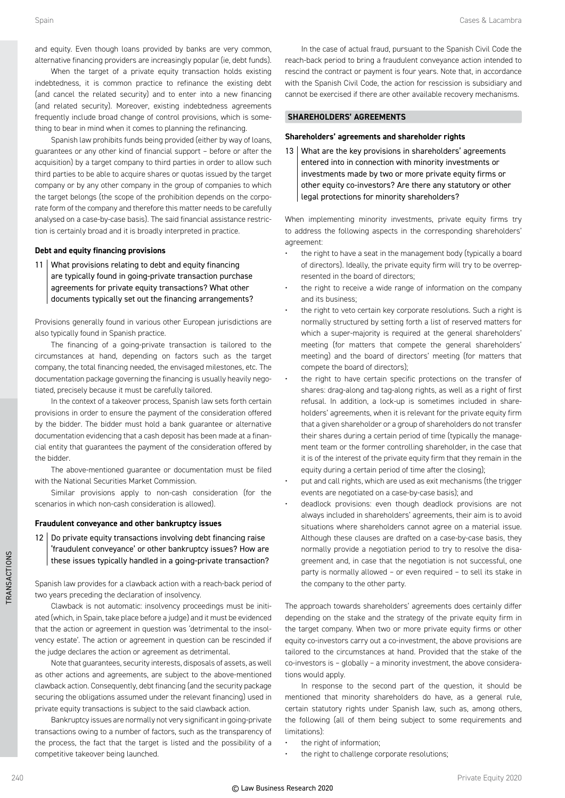and equity. Even though loans provided by banks are very common, alternative financing providers are increasingly popular (ie, debt funds).

When the target of a private equity transaction holds existing indebtedness, it is common practice to refinance the existing debt (and cancel the related security) and to enter into a new financing (and related security). Moreover, existing indebtedness agreements frequently include broad change of control provisions, which is something to bear in mind when it comes to planning the refinancing.

Spanish law prohibits funds being provided (either by way of loans, guarantees or any other kind of financial support – before or after the acquisition) by a target company to third parties in order to allow such third parties to be able to acquire shares or quotas issued by the target company or by any other company in the group of companies to which the target belongs (the scope of the prohibition depends on the corporate form of the company and therefore this matter needs to be carefully analysed on a case-by-case basis). The said financial assistance restriction is certainly broad and it is broadly interpreted in practice.

#### **Debt and equity financing provisions**

11 What provisions relating to debt and equity financing are typically found in going-private transaction purchase agreements for private equity transactions? What other documents typically set out the financing arrangements?

Provisions generally found in various other European jurisdictions are also typically found in Spanish practice.

The financing of a going-private transaction is tailored to the circumstances at hand, depending on factors such as the target company, the total financing needed, the envisaged milestones, etc. The documentation package governing the financing is usually heavily negotiated, precisely because it must be carefully tailored.

In the context of a takeover process, Spanish law sets forth certain provisions in order to ensure the payment of the consideration offered by the bidder. The bidder must hold a bank guarantee or alternative documentation evidencing that a cash deposit has been made at a financial entity that guarantees the payment of the consideration offered by the bidder.

The above-mentioned guarantee or documentation must be filed with the National Securities Market Commission.

Similar provisions apply to non-cash consideration (for the scenarios in which non-cash consideration is allowed).

#### **Fraudulent conveyance and other bankruptcy issues**

 $12$  Do private equity transactions involving debt financing raise 'fraudulent conveyance' or other bankruptcy issues? How are these issues typically handled in a going-private transaction?

Spanish law provides for a clawback action with a reach-back period of two years preceding the declaration of insolvency.

Clawback is not automatic: insolvency proceedings must be initiated (which, in Spain, take place before a judge) and it must be evidenced that the action or agreement in question was 'detrimental to the insolvency estate'. The action or agreement in question can be rescinded if the judge declares the action or agreement as detrimental.

Note that guarantees, security interests, disposals of assets, as well as other actions and agreements, are subject to the above-mentioned clawback action. Consequently, debt financing (and the security package securing the obligations assumed under the relevant financing) used in private equity transactions is subject to the said clawback action.

Bankruptcy issues are normally not very significant in going-private transactions owing to a number of factors, such as the transparency of the process, the fact that the target is listed and the possibility of a competitive takeover being launched.

In the case of actual fraud, pursuant to the Spanish Civil Code the reach-back period to bring a fraudulent conveyance action intended to rescind the contract or payment is four years. Note that, in accordance with the Spanish Civil Code, the action for rescission is subsidiary and cannot be exercised if there are other available recovery mechanisms.

#### **SHAREHOLDERS' AGREEMENTS**

#### **Shareholders' agreements and shareholder rights**

13 What are the key provisions in shareholders' agreements entered into in connection with minority investments or investments made by two or more private equity firms or other equity co-investors? Are there any statutory or other legal protections for minority shareholders?

When implementing minority investments, private equity firms try to address the following aspects in the corresponding shareholders' agreement:

- the right to have a seat in the management body (typically a board of directors). Ideally, the private equity firm will try to be overrepresented in the board of directors;
- the right to receive a wide range of information on the company and its business;
- the right to veto certain key corporate resolutions. Such a right is normally structured by setting forth a list of reserved matters for which a super-majority is required at the general shareholders' meeting (for matters that compete the general shareholders' meeting) and the board of directors' meeting (for matters that compete the board of directors);
- the right to have certain specific protections on the transfer of shares: drag-along and tag-along rights, as well as a right of first refusal. In addition, a lock-up is sometimes included in shareholders' agreements, when it is relevant for the private equity firm that a given shareholder or a group of shareholders do not transfer their shares during a certain period of time (typically the management team or the former controlling shareholder, in the case that it is of the interest of the private equity firm that they remain in the equity during a certain period of time after the closing);
- put and call rights, which are used as exit mechanisms (the trigger events are negotiated on a case-by-case basis); and
- deadlock provisions: even though deadlock provisions are not always included in shareholders' agreements, their aim is to avoid situations where shareholders cannot agree on a material issue. Although these clauses are drafted on a case-by-case basis, they normally provide a negotiation period to try to resolve the disagreement and, in case that the negotiation is not successful, one party is normally allowed – or even required – to sell its stake in the company to the other party.

The approach towards shareholders' agreements does certainly differ depending on the stake and the strategy of the private equity firm in the target company. When two or more private equity firms or other equity co-investors carry out a co-investment, the above provisions are tailored to the circumstances at hand. Provided that the stake of the co-investors is – globally – a minority investment, the above considerations would apply.

In response to the second part of the question, it should be mentioned that minority shareholders do have, as a general rule, certain statutory rights under Spanish law, such as, among others, the following (all of them being subject to some requirements and limitations):

- the right of information:
- the right to challenge corporate resolutions:

TRANSACTIONS

*TRANSACTIONS*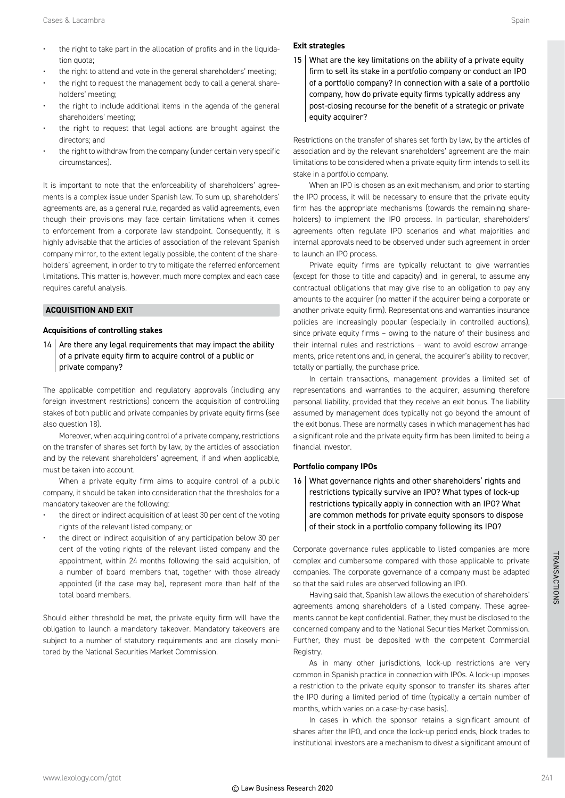- the right to take part in the allocation of profits and in the liquidation quota;
- the right to attend and vote in the general shareholders' meeting;
- the right to request the management body to call a general shareholders' meeting;
- the right to include additional items in the agenda of the general shareholders' meeting;
- the right to request that legal actions are brought against the directors; and
- the right to withdraw from the company (under certain very specific circumstances).

It is important to note that the enforceability of shareholders' agreements is a complex issue under Spanish law. To sum up, shareholders' agreements are, as a general rule, regarded as valid agreements, even though their provisions may face certain limitations when it comes to enforcement from a corporate law standpoint. Consequently, it is highly advisable that the articles of association of the relevant Spanish company mirror, to the extent legally possible, the content of the shareholders' agreement, in order to try to mitigate the referred enforcement limitations. This matter is, however, much more complex and each case requires careful analysis.

#### **ACQUISITION AND EXIT**

#### **Acquisitions of controlling stakes**

 $14$  Are there any legal requirements that may impact the ability of a private equity firm to acquire control of a public or private company?

The applicable competition and regulatory approvals (including any foreign investment restrictions) concern the acquisition of controlling stakes of both public and private companies by private equity firms (see also question 18).

Moreover, when acquiring control of a private company, restrictions on the transfer of shares set forth by law, by the articles of association and by the relevant shareholders' agreement, if and when applicable, must be taken into account.

When a private equity firm aims to acquire control of a public company, it should be taken into consideration that the thresholds for a mandatory takeover are the following:

- the direct or indirect acquisition of at least 30 per cent of the voting rights of the relevant listed company; or
- the direct or indirect acquisition of any participation below 30 per cent of the voting rights of the relevant listed company and the appointment, within 24 months following the said acquisition, of a number of board members that, together with those already appointed (if the case may be), represent more than half of the total board members.

Should either threshold be met, the private equity firm will have the obligation to launch a mandatory takeover. Mandatory takeovers are subject to a number of statutory requirements and are closely monitored by the National Securities Market Commission.

#### **Exit strategies**

15 What are the key limitations on the ability of a private equity firm to sell its stake in a portfolio company or conduct an IPO of a portfolio company? In connection with a sale of a portfolio company, how do private equity firms typically address any post-closing recourse for the benefit of a strategic or private equity acquirer?

Restrictions on the transfer of shares set forth by law, by the articles of association and by the relevant shareholders' agreement are the main limitations to be considered when a private equity firm intends to sell its stake in a portfolio company.

When an IPO is chosen as an exit mechanism, and prior to starting the IPO process, it will be necessary to ensure that the private equity firm has the appropriate mechanisms (towards the remaining shareholders) to implement the IPO process. In particular, shareholders' agreements often regulate IPO scenarios and what majorities and internal approvals need to be observed under such agreement in order to launch an IPO process.

Private equity firms are typically reluctant to give warranties (except for those to title and capacity) and, in general, to assume any contractual obligations that may give rise to an obligation to pay any amounts to the acquirer (no matter if the acquirer being a corporate or another private equity firm). Representations and warranties insurance policies are increasingly popular (especially in controlled auctions), since private equity firms – owing to the nature of their business and their internal rules and restrictions – want to avoid escrow arrangements, price retentions and, in general, the acquirer's ability to recover, totally or partially, the purchase price.

In certain transactions, management provides a limited set of representations and warranties to the acquirer, assuming therefore personal liability, provided that they receive an exit bonus. The liability assumed by management does typically not go beyond the amount of the exit bonus. These are normally cases in which management has had a significant role and the private equity firm has been limited to being a financial investor.

#### **Portfolio company IPOs**

16 What governance rights and other shareholders' rights and restrictions typically survive an IPO? What types of lock-up restrictions typically apply in connection with an IPO? What are common methods for private equity sponsors to dispose of their stock in a portfolio company following its IPO?

Corporate governance rules applicable to listed companies are more complex and cumbersome compared with those applicable to private companies. The corporate governance of a company must be adapted so that the said rules are observed following an IPO.

Having said that, Spanish law allows the execution of shareholders' agreements among shareholders of a listed company. These agreements cannot be kept confidential. Rather, they must be disclosed to the concerned company and to the National Securities Market Commission. Further, they must be deposited with the competent Commercial Registry

As in many other jurisdictions, lock-up restrictions are very common in Spanish practice in connection with IPOs. A lock-up imposes a restriction to the private equity sponsor to transfer its shares after the IPO during a limited period of time (typically a certain number of months, which varies on a case-by-case basis).

In cases in which the sponsor retains a significant amount of shares after the IPO, and once the lock-up period ends, block trades to institutional investors are a mechanism to divest a significant amount of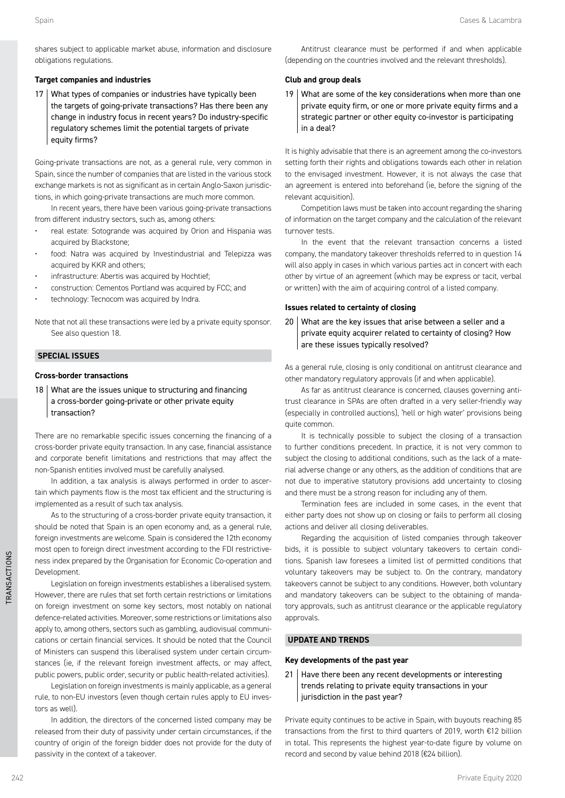#### **Target companies and industries**

17 What types of companies or industries have typically been the targets of going-private transactions? Has there been any change in industry focus in recent years? Do industry-specific regulatory schemes limit the potential targets of private equity firms?

Going-private transactions are not, as a general rule, very common in Spain, since the number of companies that are listed in the various stock exchange markets is not as significant as in certain Anglo-Saxon jurisdictions, in which going-private transactions are much more common.

In recent years, there have been various going-private transactions from different industry sectors, such as, among others:

- real estate: Sotogrande was acquired by Orion and Hispania was acquired by Blackstone;
- food: Natra was acquired by Investindustrial and Telepizza was acquired by KKR and others;
- infrastructure: Abertis was acquired by Hochtief;
- construction: Cementos Portland was acquired by FCC; and
- technology: Tecnocom was acquired by Indra.

Note that not all these transactions were led by a private equity sponsor. See also question 18.

#### **SPECIAL ISSUES**

#### **Cross-border transactions**

18 What are the issues unique to structuring and financing a cross-border going-private or other private equity transaction?

There are no remarkable specific issues concerning the financing of a cross-border private equity transaction. In any case, financial assistance and corporate benefit limitations and restrictions that may affect the non-Spanish entities involved must be carefully analysed.

In addition, a tax analysis is always performed in order to ascertain which payments flow is the most tax efficient and the structuring is implemented as a result of such tax analysis.

As to the structuring of a cross-border private equity transaction, it should be noted that Spain is an open economy and, as a general rule, foreign investments are welcome. Spain is considered the 12th economy most open to foreign direct investment according to the FDI restrictiveness index prepared by the Organisation for Economic Co-operation and Development.

Legislation on foreign investments establishes a liberalised system. However, there are rules that set forth certain restrictions or limitations on foreign investment on some key sectors, most notably on national defence-related activities. Moreover, some restrictions or limitations also apply to, among others, sectors such as gambling, audiovisual communications or certain financial services. It should be noted that the Council of Ministers can suspend this liberalised system under certain circumstances (ie, if the relevant foreign investment affects, or may affect, public powers, public order, security or public health-related activities).

Legislation on foreign investments is mainly applicable, as a general rule, to non-EU investors (even though certain rules apply to EU investors as well).

In addition, the directors of the concerned listed company may be released from their duty of passivity under certain circumstances, if the country of origin of the foreign bidder does not provide for the duty of passivity in the context of a takeover.

Antitrust clearance must be performed if and when applicable (depending on the countries involved and the relevant thresholds).

#### **Club and group deals**

19 What are some of the key considerations when more than one private equity firm, or one or more private equity firms and a strategic partner or other equity co-investor is participating in a deal?

It is highly advisable that there is an agreement among the co-investors setting forth their rights and obligations towards each other in relation to the envisaged investment. However, it is not always the case that an agreement is entered into beforehand (ie, before the signing of the relevant acquisition).

Competition laws must be taken into account regarding the sharing of information on the target company and the calculation of the relevant turnover tests.

In the event that the relevant transaction concerns a listed company, the mandatory takeover thresholds referred to in question 14 will also apply in cases in which various parties act in concert with each other by virtue of an agreement (which may be express or tacit, verbal or written) with the aim of acquiring control of a listed company.

#### **Issues related to certainty of closing**

20 What are the key issues that arise between a seller and a private equity acquirer related to certainty of closing? How are these issues typically resolved?

As a general rule, closing is only conditional on antitrust clearance and other mandatory regulatory approvals (if and when applicable).

As far as antitrust clearance is concerned, clauses governing antitrust clearance in SPAs are often drafted in a very seller-friendly way (especially in controlled auctions), 'hell or high water' provisions being quite common.

It is technically possible to subject the closing of a transaction to further conditions precedent. In practice, it is not very common to subject the closing to additional conditions, such as the lack of a material adverse change or any others, as the addition of conditions that are not due to imperative statutory provisions add uncertainty to closing and there must be a strong reason for including any of them.

Termination fees are included in some cases, in the event that either party does not show up on closing or fails to perform all closing actions and deliver all closing deliverables.

Regarding the acquisition of listed companies through takeover bids, it is possible to subject voluntary takeovers to certain conditions. Spanish law foresees a limited list of permitted conditions that voluntary takeovers may be subject to. On the contrary, mandatory takeovers cannot be subject to any conditions. However, both voluntary and mandatory takeovers can be subject to the obtaining of mandatory approvals, such as antitrust clearance or the applicable regulatory approvals.

#### **UPDATE AND TRENDS**

#### **Key developments of the past year**

21 | Have there been any recent developments or interesting trends relating to private equity transactions in your jurisdiction in the past year?

Private equity continues to be active in Spain, with buyouts reaching 85 transactions from the first to third quarters of 2019, worth €12 billion in total. This represents the highest year-to-date figure by volume on record and second by value behind 2018 (€24 billion).

TRANSACTIONS

*TRANSACTIONS*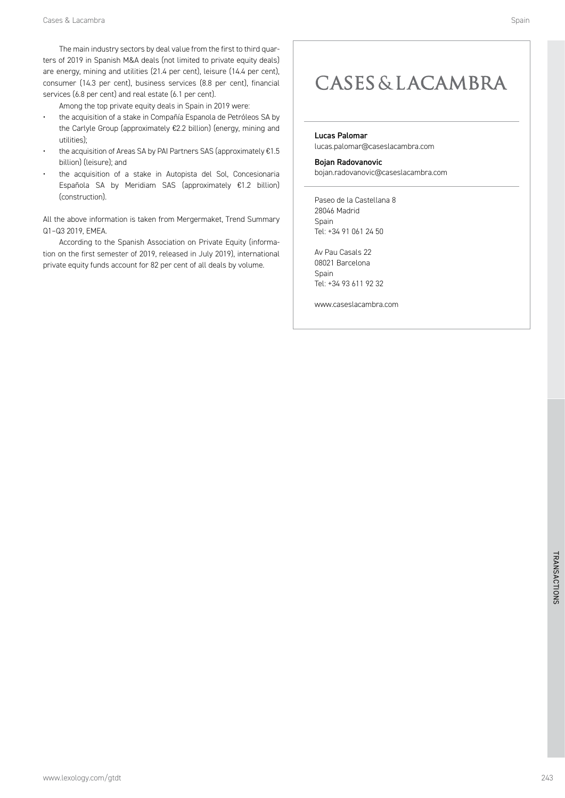The main industry sectors by deal value from the first to third quarters of 2019 in Spanish M&A deals (not limited to private equity deals) are energy, mining and utilities (21.4 per cent), leisure (14.4 per cent), consumer (14.3 per cent), business services (8.8 per cent), financial services (6.8 per cent) and real estate (6.1 per cent).

Among the top private equity deals in Spain in 2019 were:

- the acquisition of a stake in Compañía Espanola de Petróleos SA by the Carlyle Group (approximately €2.2 billion) (energy, mining and utilities);
- the acquisition of Areas SA by PAI Partners SAS (approximately €1.5 billion) (leisure); and
- the acquisition of a stake in Autopista del Sol, Concesionaria Española SA by Meridiam SAS (approximately €1.2 billion) (construction).

All the above information is taken from Mergermaket, Trend Summary Q1–Q3 2019, EMEA.

According to the Spanish Association on Private Equity (information on the first semester of 2019, released in July 2019), international private equity funds account for 82 per cent of all deals by volume.

### **CASES & LACAMBRA**

#### Lucas Palomar

lucas.palomar@caseslacambra.com

#### Bojan Radovanovic

bojan.radovanovic@caseslacambra.com

Paseo de la Castellana 8 28046 Madrid **Spain** Tel: +34 91 061 24 50

Av Pau Casals 22 08021 Barcelona Spain Tel: +34 93 611 92 32

www.caseslacambra.com